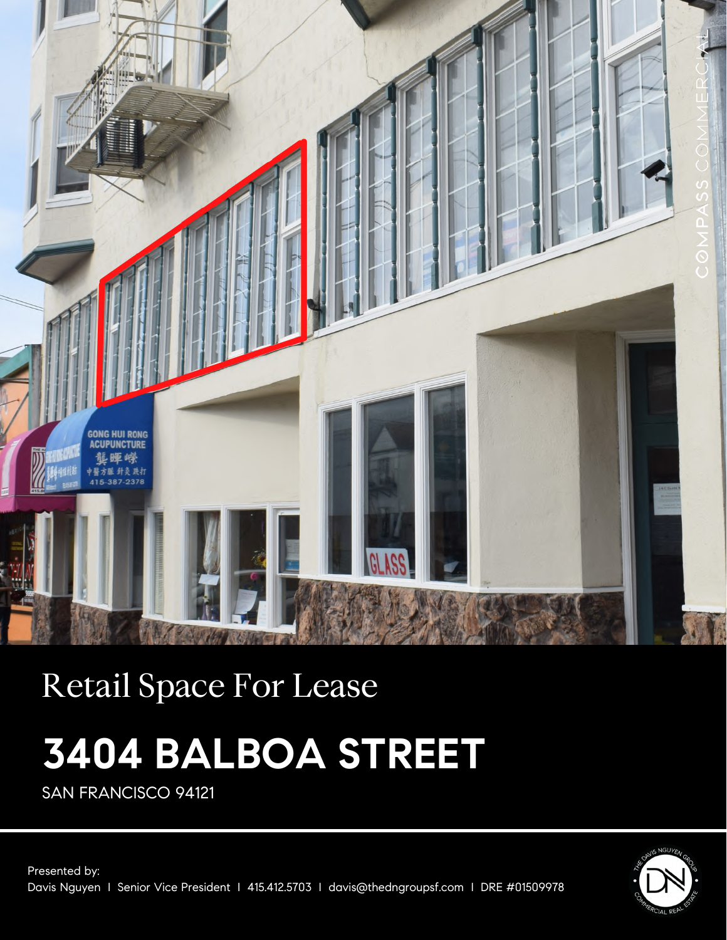

# Retail Space For Lease

# **3404 BALBOA STREET**

SAN FRANCISCO 94121

Presented by: Davis Nguyen I Senior Vice President I 415.412.5703 I davis@thedngroupsf.com I DRE #01509978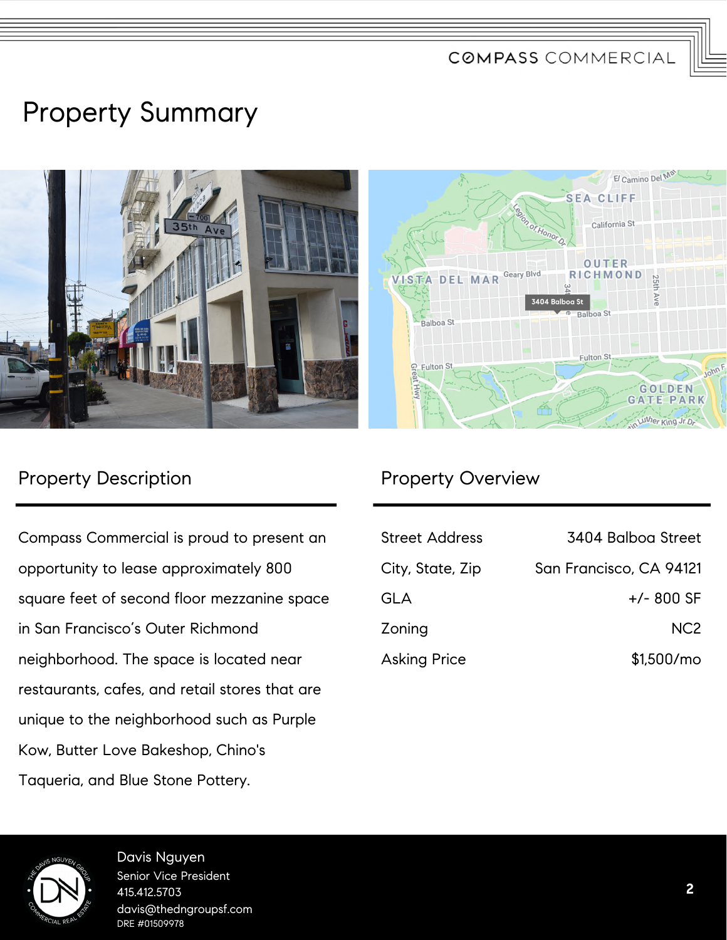COMPASS COMMERCIAL

## Property Summary



### Property Description **Property Overview**

Compass Commercial is proud to present an opportunity to lease approximately 800 square feet of second floor mezzanine space in San Francisco's Outer Richmond neighborhood. The space is located near restaurants, cafes, and retail stores that are unique to the neighborhood such as Purple Kow, Butter Love Bakeshop, Chino's Taqueria, and Blue Stone Pottery.

| <b>Street Address</b> | 3404 Balboa Street      |
|-----------------------|-------------------------|
| City, State, Zip      | San Francisco, CA 94121 |
| <b>GLA</b>            | $+/-$ 800 SF            |
| Zoning                | NC <sub>2</sub>         |
| <b>Asking Price</b>   | $$1,500/m$ o            |



Davis Nguyen Senior Vice President 415.412.5703 davis@thedngroupsf.com DRE #01509978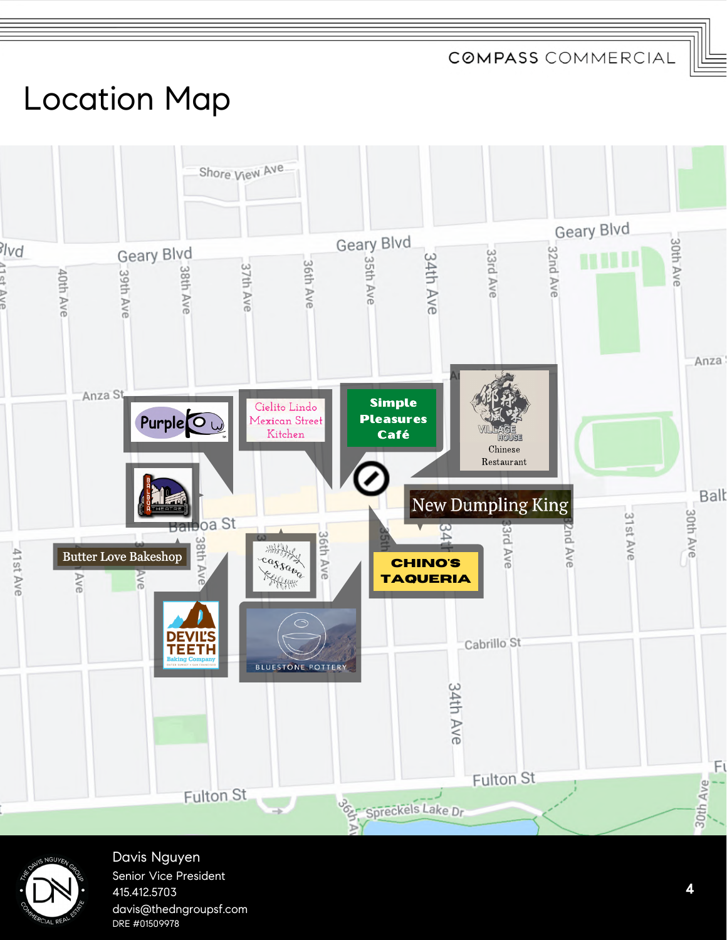**COMPASS COMMERCIAL** 

# Location Map





Davis Nguyen Senior Vice President 415.412.5703 davis@thedngroupsf.com DRE #01509978